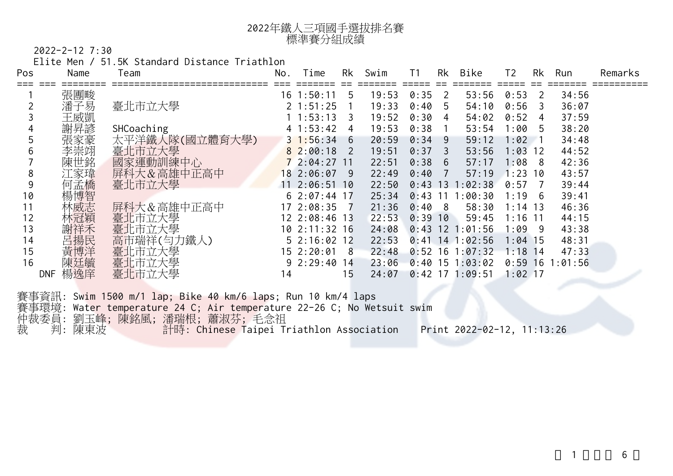## 年鐵人三項國手選拔排名賽 標準賽分組成績

2022-2-12 7:30

Elite Men / 51.5K Standard Distance Triathlon

| Pos | Name              | Team           | No. | Time          | Rk  | Swim  | Τ1        | Rk  | Bike    | Τ2        | Rk             | Run    | Remarks |
|-----|-------------------|----------------|-----|---------------|-----|-------|-----------|-----|---------|-----------|----------------|--------|---------|
|     | 張團畯               |                | 16  | 1:50:11       | 5   | 19:53 | 0:35      | 2   | 53:56   | 0:53      | -2             | 34:56  |         |
|     | 潘子易               | 臺北市立大學         |     | 1:51:25       |     | 19:33 | 0:40      | 5   | 54:10   | 0:56      | $\overline{3}$ | 36:07  |         |
|     | 王威凱               |                |     | :53:13        | 3   | 19:52 | 0:30      | 4   | 54:02   | 0:52      | 4              | 37:59  |         |
|     | 謝昇諺               | SHCoaching     |     | :53:42        | 4   | 19:53 | 0:38      |     | 53:54   | 1:00      | - 5            | 38:20  |         |
|     | 張家豪               | 太平洋鐵人隊(國立體育大學) |     | $3\;1:56:34$  | 6   | 20:59 | 0:34      | 9   | 59:12   | 1:02      |                | 34:48  |         |
| b   | 李崇翊               | 臺北市立大學         |     | 82:00:18      | 2   | 19:51 | 0:37      | 3   | 53:56   | 1:03      | $12$           | 44:52  |         |
|     | 陳世銘               | 國家運動訓練中心       |     | 72:04:27      | -11 | 22:51 | 0:38      | 6   | 57:17   | 1:08      | - 8            | 42:36  |         |
| 8   | 江家瑋               | 屏科大&高雄中正高中     |     | 18 2:06:07    | -9  | 22:49 | 0:40      |     | 57:19   | 1:23      | 10             | 43:57  |         |
| 9   | 何孟橋               | 臺北市立大學         |     | 11 2:06:51    | 10  | 22:50 | 0:43      | 13  | :02:38  | 0:57      |                | 39:44  |         |
| 10  | 楊博智               |                |     | $62:07:44$ 17 |     | 25:34 | 0:43      | -11 | :00:30  | 1:19      | - 6            | 39:41  |         |
| 11  | 林威志               | 屏科大&高雄中正高中     |     | 17 2:08:35    |     | 21:36 | 0:40      | 8   | 58:30   | $1:14$ 13 |                | 46:36  |         |
| 12  | 林冠穎               | 臺北市立大學         |     | 12 2:08:46 13 |     | 22:53 | $0:39$ 10 |     | 59:45   | $1:16$ 11 |                | 44:15  |         |
| 13  | 謝祥禾               | 臺北市立大學         |     | 10 2:11:32 16 |     | 24:08 | 0:43      | 12  | :01:56  | 1:09      | - 9            | 43:38  |         |
| 14  | 呂揚民               | 高市瑞祥(匀力鐵人)     |     | 52:16:0212    |     | 22:53 | 0:41      | 14  | 1:02:56 | $1:04$ 15 |                | 48:31  |         |
| 15  | 黃博洋               | 臺北市立大學         |     | 15 2:20:01    | 8   | 22:48 | 0:52      | 16  | 1:07:32 | 1:18      | -14            | 47:33  |         |
| 16  | 陳廷毓               | 臺北市立大學         |     | 92:29:40      | 14  | 23:06 | 0:40      | 15  | : 03:02 | 0:59      | 16             | :01:56 |         |
|     | 楊逸庠<br><b>DNF</b> | 臺北市立大學         | 14  |               | 15  | 24:07 | 0:42      | 17  | :09:51  | $1:02$ 17 |                |        |         |

賽事資訊: Swim 1500 m/1 lap; Bike 40 km/6 laps; Run 10 km/4 laps 賽事環境: Water temperature 24 C; Air temperature 22-26 C; No Wetsuit swim 仲裁委員: 劉玉峰; 陳銘風; 潘瑞根; 蕭淑芬; 毛念祖 裁 判: 陳東波 計時: Chinese Taipei Triathlon Association Print 2022-02-12, 11:13:26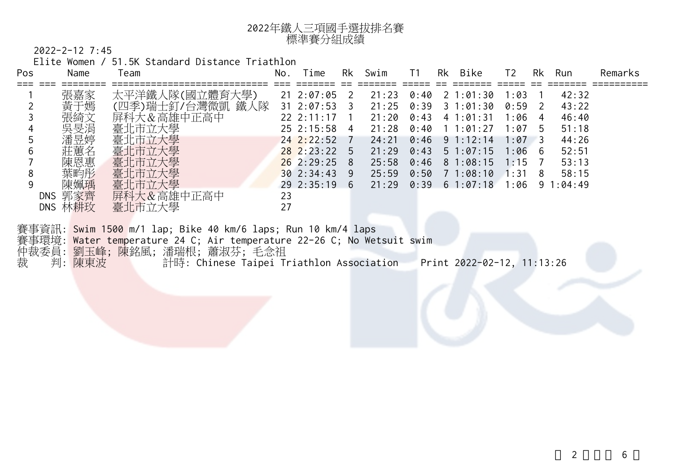

2022-2-12 7:45

Elite Women / 51.5K Standard Distance Triathlon

| Pos  | Name           | Team                                                                                                                          | No. | Time            | Rk                      | Swim  | T1   | Rk | Bike          | T <sub>2</sub> |                | Rk Run        | Remarks |
|------|----------------|-------------------------------------------------------------------------------------------------------------------------------|-----|-----------------|-------------------------|-------|------|----|---------------|----------------|----------------|---------------|---------|
|      | 張嘉家            | 太平洋鐵人隊(國立體育大學)                                                                                                                |     | $21 \t2:07:05$  | $\overline{2}$          | 21:23 | 0:40 |    | 2 1:01:30     | 1:03           |                | 42:32         |         |
|      | 黃于嫣            | (四季)瑞士釘/台灣微凱 鐵人隊                                                                                                              |     | $31 \t2:07:53$  | $\overline{\mathbf{3}}$ | 21:25 | 0:39 |    | 31:01:30      | 0:59           | $\overline{2}$ | 43:22         |         |
|      | 張綺文            | 屏科大&高雄中正高中                                                                                                                    |     | $22 \t2:11:17$  | $\overline{1}$          | 21:20 | 0:43 |    | 41:01:31      | 1:06           | 4              | 46:40         |         |
|      | 吳旻涓            | 臺北市立大學                                                                                                                        |     | $25 \t2:15:58$  | $\overline{4}$          | 21:28 | 0:40 |    | 11:01:27      | $1:07$ 5       |                | 51:18         |         |
|      | 潘昱婷            | 臺北市立大學                                                                                                                        |     | $24$ $2:22:52$  |                         | 24:21 | 0:46 |    | $9 \t1:12:14$ | $1:07$ 3       |                | 44:26         |         |
|      | 莊蕙名            | 臺北市立大學                                                                                                                        |     | $28$ 2:23:22 5  |                         | 21:29 | 0:43 |    | $5 \t1:07:15$ | $1:06 \quad 6$ |                | 52:51         |         |
|      | 陳恩惠            | 臺北市立大學                                                                                                                        |     | $26$ 2:29:25    | -8                      | 25:58 | 0:46 |    | 81:08:15      | $1:15$ 7       |                | 53:13         |         |
| 8    | 葉畇彤            | 臺北市立大學                                                                                                                        |     | $30 \t2:}34:43$ | -9                      | 25:59 | 0:50 |    | 71:08:10      | 1:31           | 8              | 58:15         |         |
|      | 陳姵瑀<br>DNS 郭家齊 | 臺北市立大學<br>屏科大&高雄中正高中                                                                                                          | 23  | $29\ \ 2:35:19$ | -6                      | 21:29 | 0:39 |    | 61:07:18      | 1:06           |                | $9 \t1:04:49$ |         |
|      | DNS 林耕玫        | 臺北市立大學                                                                                                                        | 27  |                 |                         |       |      |    |               |                |                |               |         |
|      |                |                                                                                                                               |     |                 |                         |       |      |    |               |                |                |               |         |
|      |                | 賽事資訊: Swim 1500 m/1 lap; Bike 40 km/6 laps; Run 10 km/4 laps                                                                  |     |                 |                         |       |      |    |               |                |                |               |         |
| 压地子中 |                | 賽事環境: Water temperature 24 C; Air temperature 22-26 C; No Wetsuit swim<br>67时二毫友   7章 入左层1  23起了电声11  雪雪2回过去1  2014   2025 12 |     |                 |                         |       |      |    |               |                |                |               |         |

仲裁委員: 劉玉峰; 陳銘風; 潘瑞根; 蕭淑芬; 毛念祖

裁 判: <mark>陳東波 計時: Chinese Taipei Triathlon Association Print 2022-02-12, 11:13:26</mark>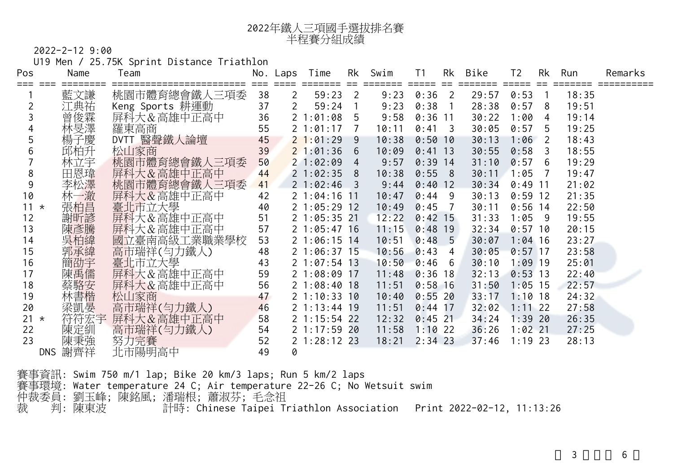

U19 Men / 25.75K Sprint Distance Triathlon

| Pos    |            | Name | Team                            |    | No. Laps       | Time         | Rk             | Swim                                       | T1             | Rk              | Bike  | T <sub>2</sub> |                | Rk Run | Remarks |
|--------|------------|------|---------------------------------|----|----------------|--------------|----------------|--------------------------------------------|----------------|-----------------|-------|----------------|----------------|--------|---------|
|        |            | 藍文謙  |                                 | 38 | $\overline{2}$ | 59:23        | $\overline{2}$ | ======== ===== == ======= ===== ==<br>9:23 | 0:36           | $\overline{2}$  | 29:57 | 0:53           | $\overline{1}$ | 18:35  |         |
|        |            | 江典祐  | 桃園市體育總會鐵人三項委<br>Keng Sports 耕運動 | 37 | $\overline{2}$ | 59:24        | $\overline{1}$ | 9:23                                       | 0:38           | $\overline{1}$  | 28:38 | 0:57           | 8              | 19:51  |         |
|        |            | 曾俊霖  | 屏科大&高雄中正高中                      | 36 |                | 2 1:01:08    | 5 <sup>5</sup> | 9:58                                       | $0:36$ 11      |                 | 30:22 | 1:00           | 4              | 19:14  |         |
|        |            | 林旻澤  | 羅東高商                            | 55 |                | 2 1:01:17    | 7              | 10:11                                      | $0:41 \quad 3$ |                 | 30:05 | $0:57$ 5       |                | 19:25  |         |
| 5      |            | 楊子慶  | DVTT 醫聲鐵人論壇                     | 45 |                | 21:01:29     | -9             | 10:38                                      | $0:50$ 10      |                 | 30:13 | $1:06$ 2       |                | 18:43  |         |
| 6      |            | 邱柏升  | 松山家商                            | 39 |                | 21:01:36     | 6 <sub>o</sub> | 10:09                                      | $0:41$ 13      |                 | 30:55 | $0:58$ 3       |                | 18:55  |         |
|        |            | 林立宇  | 桃園市體育總會鐵人三項委                    | 50 |                | 21:02:09     | $\overline{4}$ | 9:57                                       | $0:39$ 14      |                 | 31:10 | 0:57           | 6              | 19:29  |         |
| 8      |            | 田恩瑋  | 屏科大&高雄中正高中                      | 44 |                | 21:02:35     | 8              | 10:38                                      | 0:558          |                 | 30:11 | $1:05$ 7       |                | 19:47  |         |
| 9      |            | 李松澤  | 桃園市體育總會鐵人三項委                    | 41 |                | $21:02:46$ 3 |                | 9:44                                       | $0:40$ 12      |                 | 30:34 | $0:49$ 11      |                | 21:02  |         |
| 10     |            | 林一澈  | 屏科大&高雄中正高中                      | 42 |                | 21:04:1611   |                | 10:47                                      | $0:44$ 9       |                 | 30:13 | $0:59$ 12      |                | 21:35  |         |
| $11 *$ |            | 張柏昌  | 臺北市立大學                          | 40 |                | 21:05:2912   |                | 10:49                                      | 0:45           | $\overline{7}$  | 30:11 | $0:56$ 14      |                | 22:50  |         |
| 12     |            | 謝听諺  | 屏科大&高雄中正高中                      | 51 |                | 21:05:3521   |                | 12:22                                      | $0:42$ 15      |                 | 31:33 | $1:05$ 9       |                | 19:55  |         |
| 13     |            | 陳彥騰  | 屏科大&高雄中正高中                      | 57 |                | 21:05:4716   |                | 11:15                                      | $0:48$ 19      |                 | 32:34 | $0:57$ 10      |                | 20:15  |         |
| 14     |            |      | 國立臺南高級工業職業學校                    | 53 |                | 21:06:1514   |                | 10:51                                      | 0:48           | $5\overline{)}$ | 30:07 | $1:04$ 16      |                | 23:27  |         |
| 15     |            | 郭承緯  | 高市瑞祥(匀力鐵人)                      | 48 |                | 21:06:3715   |                | 10:56                                      | 0:43           | 4               | 30:05 | $0:57$ 17      |                | 23:58  |         |
| 16     |            |      | 臺北市立大學                          | 43 |                | 21:07:5413   |                | 10:50                                      | 0:46           | - 6             | 30:10 | $1:09$ 19      |                | 25:01  |         |
| 17     |            | 陳禹儒  | 屏科大&高雄中正高中                      | 59 |                | 21:08:0917   |                | 11:48                                      | $0:36$ 18      |                 | 32:13 | $0:53$ 13      |                | 22:40  |         |
| 18     |            | 蔡駱安  | 屏科大&高雄中正高中                      | 56 |                | 21:08:4018   |                | 11:51                                      | $0:58$ 16      |                 | 31:50 | $1:05$ 15      |                | 22:57  |         |
| 19     |            | 林書楷  | 松山家商                            | 47 |                | 21:10:3310   |                | 10:40                                      | $0:55$ 20      |                 | 33:17 | $1:10$ 18      |                | 24:32  |         |
| 20     |            | 梁凱晏  | 高市瑞祥(匀力鐵人)                      | 46 |                | 21:13:4419   |                | 11:51                                      | $0:44$ 17      |                 | 32:02 | $1:11$ 22      |                | 27:58  |         |
| $21 *$ |            | 符符宏宇 | 屏科大&高雄中正高中                      | 58 |                | 2 1:15:54 22 |                | 12:32                                      | $0:45$ 21      |                 | 34:24 | $1:39$ 20      |                | 26:35  |         |
| 22     |            | 陳定紃  | 高市瑞祥(匀力鐵人)                      | 54 |                | 21:17:5920   |                | 11:58                                      | $1:10$ 22      |                 | 36:26 | $1:02$ 21      |                | 27:25  |         |
| 23     |            | 陳秉強  | 努力完賽                            | 52 |                | 2 1:28:12 23 |                | 18:21                                      | $2:34$ 23      |                 | 37:46 | $1:19$ 23      |                | 28:13  |         |
|        | <b>DNS</b> | 謝齊祥  | 北市陽明高中                          | 49 | 0              |              |                |                                            |                |                 |       |                |                |        |         |

賽事資訊: Swim 750 m/1 lap; Bike 20 km/3 laps; Run 5 km/2 laps 賽事環境: Water temperature 24 C; Air temperature 22-26 C; No Wetsuit swim 仲裁委員: 劉玉峰; 陳銘風; 潘瑞根; 蕭淑芬; 毛念祖 裁 判: 陳東波 計時: Chinese Taipei Triathlon Association Print 2022-02-12, 11:13:26

 $3 \t\t 6$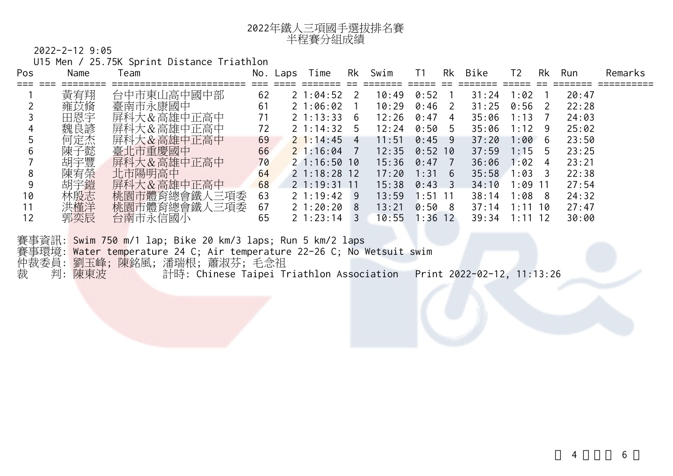

U15 Men / 25.75K Sprint Distance Triathlon

| Pos | Name | eam             | NO. | Laps | Time           | Rk  | Swim  | Τ1        | Rk | Bike  | T <sub>2</sub> | Rk           | Run   | Remarks |
|-----|------|-----------------|-----|------|----------------|-----|-------|-----------|----|-------|----------------|--------------|-------|---------|
|     | 黃宥翔  | 台中市東山高中國中部      | 62  |      | 21:04:52       | 2   | 10:49 | 0:52      |    | 31:24 | 1:02           |              | 20:47 |         |
|     | 雍苡脩  | 臺南市永康國中         | 61  |      | 21:06:02       |     | 10:29 | 0:46      | 2  | 31:25 | 0:56           | <sup>2</sup> | 22:28 |         |
|     | 田恩宇  | 屏科大&高雄中正高中      |     |      | $2 \; 1:13:33$ | 6   | 12:26 | 0:47      | 4  | 35:06 | 3<br>l : 1     |              | 24:03 |         |
| 4   | 魏良諺  | 屏科大&高雄中正高中      | 72  |      | $2 \; 1:14:32$ | 5   | 12:24 | 0:50      | 5  | 35:06 | 1:12           | 9            | 25:02 |         |
|     | 何定杰  | 屏科大&高雄中正高中      | 69  |      | $2\;1:14:45$   | 4   | 11:51 | 0:45      | 9  | 37:20 | 1:00           | - 6          | 23:50 |         |
| 6   | 陳子懿  | 臺北市重慶國中         | 66  |      | 21:16:04       |     | 12:35 | 0:52      | 10 | 37:59 | 1:15           | 5            | 23:25 |         |
|     | 胡宇豐  | 屏科大&高雄中正高中      | 70  |      | 21:16:5010     |     | 15:36 | 0:47      |    | 36:06 | 1:02           | 4            | 23:21 |         |
| 8   | 陳宥榮  | 北市陽明高中          | 64  |      | 21:18:2812     |     | 17:20 | 1:31      | 6  | 35:58 | 1:03           | 3            | 22:38 |         |
| 9   | 胡宇鎧  | 屏科大&高雄中正高中      | 68  |      | 21:19:3111     |     | 15:38 | 0:43      |    | 34:10 | l:09           | -11          | 27:54 |         |
| 10  | 林殷志  | 桃園市體育總會鐵<br>三項委 | 63  |      | $2 \t1:19:42$  | - 9 | 13:59 | 1:51      |    | 38:14 | 1:08           | -8           | 24:32 |         |
|     | 洪槿洋  | 桃園市體育總會鐵人三項委    | 67  |      | 2 1:20:20      | 8   | 13:21 | 0:50      | 8  | 37:14 | 1 : 1          | 10           | 27:47 |         |
| 12  | 郭奕辰  | 台南市永信國小         | 65  |      | $2 \; 1:23:14$ | 3   | 10:55 | $1:36$ 12 |    | 39:34 | 1:1            | 12           | 30:00 |         |

賽事資訊: Swim 750 m/1 lap; Bike 20 km/3 laps; Run 5 km/2 laps 賽事環境: Water temperature 24 C; Air temperature 22-26 C; No Wetsuit swim 仲裁委員: 劉玉峰; 陳銘風; 潘瑞根; 蕭淑芬; 毛念祖 裁 判: 陳東波 計時: Chinese Taipei Triathlon Association Print 2022-02-12, 11:13:26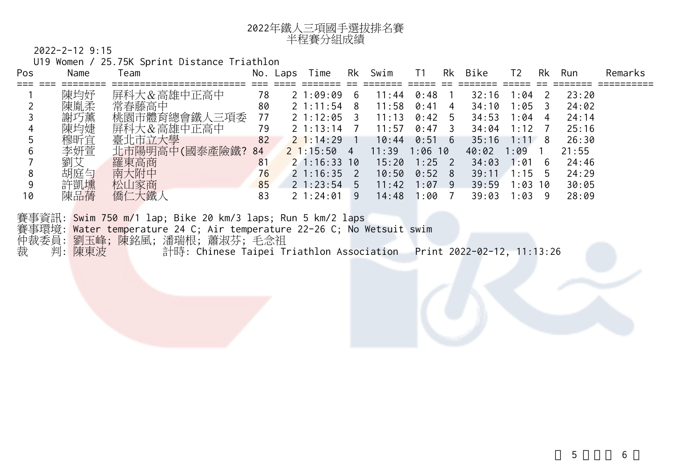

U19 Women / 25.75K Sprint Distance Triathlon

| Pos           | Name | eam             | NO.            | Laps | Гіme           | Rk | Swim  |      | Rk | <b>Bike</b> | Т2                     | Rk | Run   | Remarks |
|---------------|------|-----------------|----------------|------|----------------|----|-------|------|----|-------------|------------------------|----|-------|---------|
|               |      |                 |                |      |                |    |       |      |    |             |                        |    |       |         |
|               | 陳均妤  | 屏科大&高雄中正高中      | 78             |      | 21:09:09       | 6  | 11:44 | 0:48 |    | 32:16       | 1:04                   |    | 23:20 |         |
|               | 陳胤柔  | 常春藤高中           | 80             |      | $2 \t1:11:54$  | 8  | 11:58 | 0:41 | 4  | 34:10       | 1:05                   |    | 24:02 |         |
|               | 謝巧薰  | 桃園市體育總會鐵<br>三項委 | 77             |      | 2 1:12:05      |    | 11:13 | 0:42 | b  | 34:53       | 1:04                   | 4  | 24:14 |         |
| 4             | 陳均婕  | 屏科大&高雄中正高中      | 79             |      | $2 \t1:13:14$  |    | 11:57 | 0:47 |    | 34:04       | $\mathcal{P}$<br>1 : 1 |    | 25:16 |         |
|               | 穆昕宜  | 臺北市立大學          | 82             |      | $2\;1:14:29$   |    | 10:44 | 0:51 | 6  | 35:16       | 1 : 1                  | 8  | 26:30 |         |
| $\mathfrak b$ | 李妍萱  | 北市陽明高中(國泰產險鐵?   | 84             |      | $2 \; 1:15:50$ | 4  | 11:39 | 1:06 | 10 | 40:02       | :09                    |    | 21:55 |         |
|               | 劉艾   | 羅東高商            | 8 <sup>1</sup> |      | $2 \; 1:16:33$ | 10 | 15:20 | 1:25 |    | 34:03       | :01                    | 6  | 24:46 |         |
| Ō             | 胡庭勻  | 南大附中            | 76             |      | $2 \; 1:16:35$ |    | 10:50 | 0:52 | 8  | 39:11       | 1:15                   | 5  | 24:29 |         |
|               | 許凱壎  | 松山家商            | 85             |      | $2 \; 1:23:54$ | 5  | 11:42 | : 07 | 9  | 39:59       | :03                    | 10 | 30:05 |         |
| 10            | 陳品蒨  | 僑仁大鐵人           | 83             |      | $2 \t1:24:01$  | 9  | 14:48 | :00  |    | 39:03       | :03                    | 9  | 28:09 |         |
|               |      |                 |                |      |                |    |       |      |    |             |                        |    |       |         |

賽事資訊: Swim 750 m/1 lap; Bike 20 km/3 laps; Run 5 km/2 laps 賽事環境: <mark>Water temp</mark>erature 24 C; Air temperature 22-26 C; No Wetsuit swim 仲裁委員: 劉玉峰; 陳銘風; 潘瑞根; 蕭淑芬; 毛念祖 裁 判: 陳東波 計時: Chinese Taipei Triathlon Association Print 2022-02-12, 11:13:26